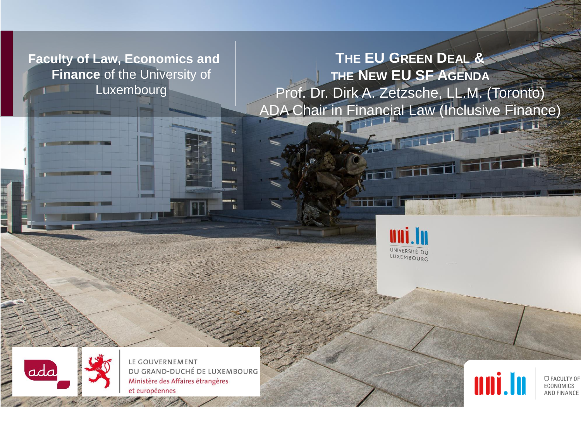**Faculty of Law, Economics and Finance** of the University of Luxembourg

**THE EU GREEN DEAL & THE NEW EU SF AGENDA** Prof. Dr. Dirk A. Zetzsche, LL.M. (Toronto) ADA Chair in Financial Law (Inclusive Finance)





LE GOUVERNEMENT DU GRAND-DUCHÉ DE LUXEMBOURG Ministère des Affaires étrangères et européennes



O FACULTY OF ECONOMICS AND FINANCE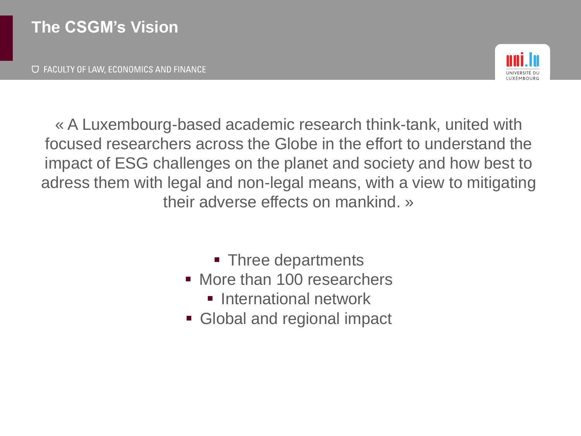$\Box$  FACULTY OF LAW, ECONOMICS AND FINANCE



« A Luxembourg-based academic research think-tank, united with focused researchers across the Globe in the effort to understand the impact of ESG challenges on the planet and society and how best to adress them with legal and non-legal means, with a view to mitigating their adverse effects on mankind. »

- Three departments
- More than 100 researchers
	- **E** International network
- Global and regional impact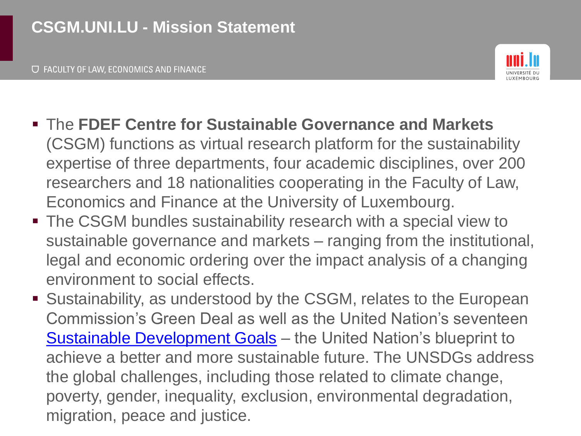

- The **FDEF Centre for Sustainable Governance and Markets** (CSGM) functions as virtual research platform for the sustainability expertise of three departments, four academic disciplines, over 200 researchers and 18 nationalities cooperating in the Faculty of Law, Economics and Finance at the University of Luxembourg.
- The CSGM bundles sustainability research with a special view to sustainable governance and markets – ranging from the institutional, legal and economic ordering over the impact analysis of a changing environment to social effects.
- Sustainability, as understood by the CSGM, relates to the European Commission's Green Deal as well as the United Nation's seventeen [Sustainable Development Goals](https://www.un.org/sustainabledevelopment/sustainable-development-goals/) - the United Nation's blueprint to achieve a better and more sustainable future. The UNSDGs address the global challenges, including those related to climate change, poverty, gender, inequality, exclusion, environmental degradation, migration, peace and justice.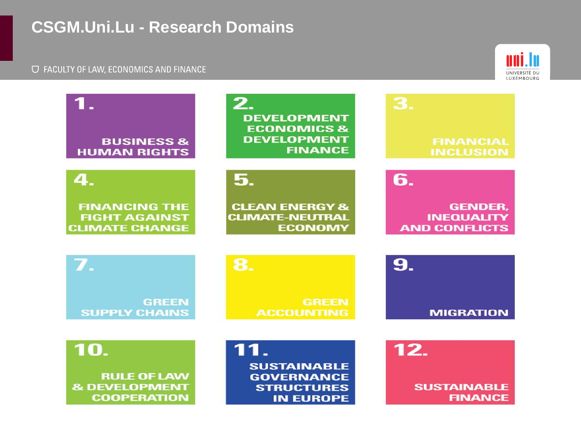## **CSGM.Uni.Lu - Research Domains**



| 1.<br><b>BUSINESS &amp;</b><br><b>HUMAN RIGHTS</b>                    | 2.<br><b>DEVELOPMENT</b><br><b>ECONOMICS &amp;</b><br><b>DEVELOPMENT</b><br><b>FINANCE</b> | 3.<br><b>FINANCIAL</b><br><b>INCLUSION</b>                  |
|-----------------------------------------------------------------------|--------------------------------------------------------------------------------------------|-------------------------------------------------------------|
| 4.                                                                    | 5.                                                                                         | 6.                                                          |
| <b>FINANCING THE</b><br><b>FIGHT AGAINST</b><br><b>CLIMATE CHANGE</b> | <b>CLEAN ENERGY &amp;</b><br><b>CLIMATE-NEUTRAL</b><br><b>ECONOMY</b>                      | <b>GENDER,</b><br><b>INEQUALITY</b><br><b>AND CONFLICTS</b> |
|                                                                       |                                                                                            |                                                             |
| $\overline{Z}$                                                        | 8.                                                                                         | 9.                                                          |
| <b>GREEN</b><br><b>SUPPLY CHAINS</b>                                  | <b>GREEN</b><br><b>ACCOUNTING</b>                                                          | <b>MIGRATION</b>                                            |
| 10.                                                                   | <b>SUSTAINABLE</b>                                                                         | 12.                                                         |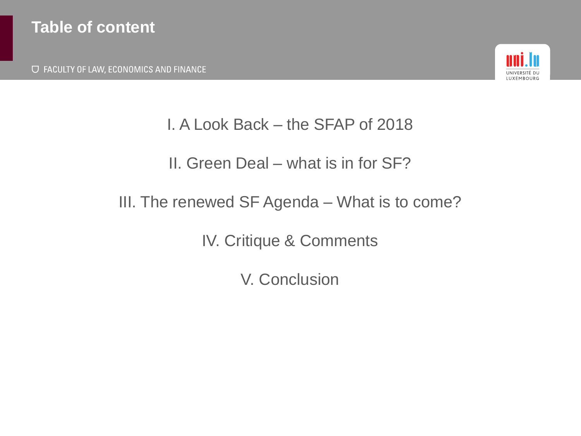**U FACULTY OF LAW, ECONOMICS AND FINANCE** 



#### I. A Look Back – the SFAP of 2018

### II. Green Deal – what is in for SF?

#### III. The renewed SF Agenda – What is to come?

IV. Critique & Comments

V. Conclusion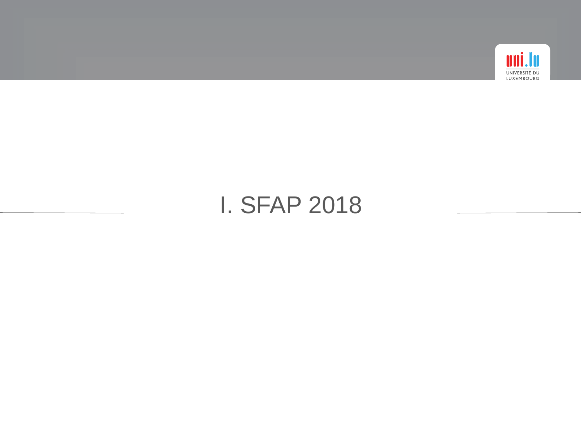

# I. SFAP 2018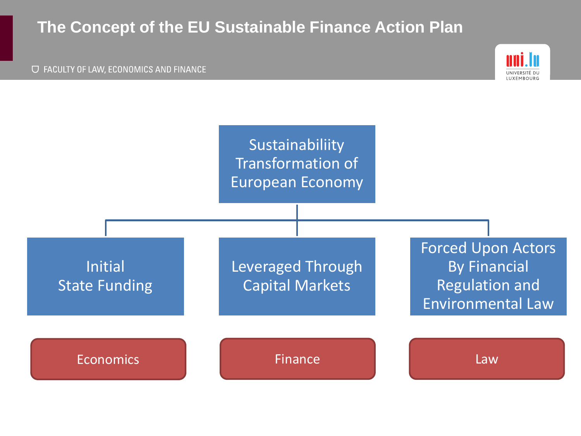#### **The Concept of the EU Sustainable Finance Action Plan**



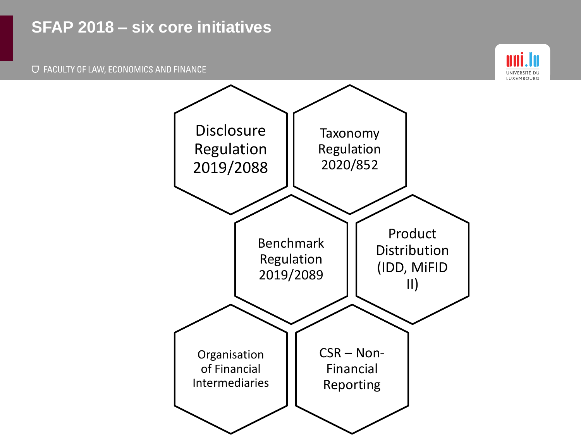#### **SFAP 2018 – six core initiatives**



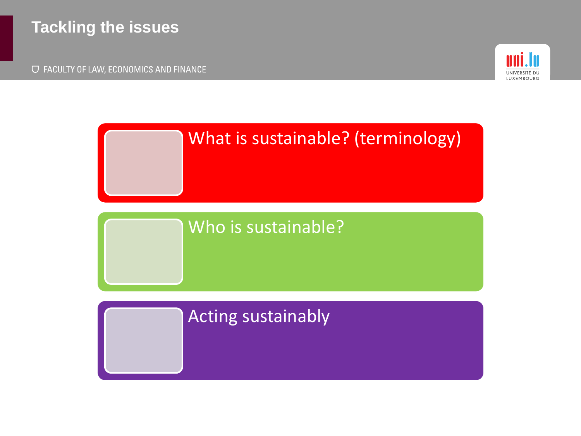### **Tackling the issues**

O FACULTY OF LAW, ECONOMICS AND FINANCE





### Acting sustainably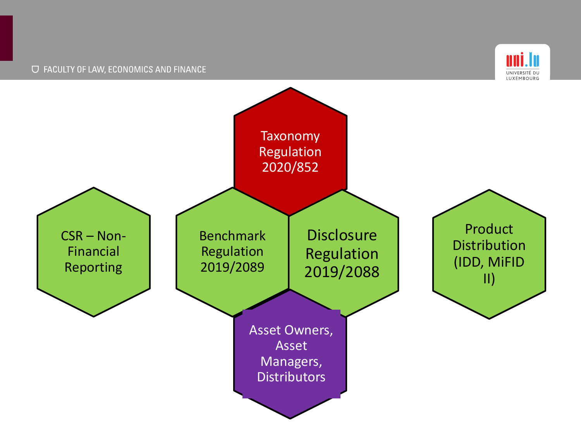

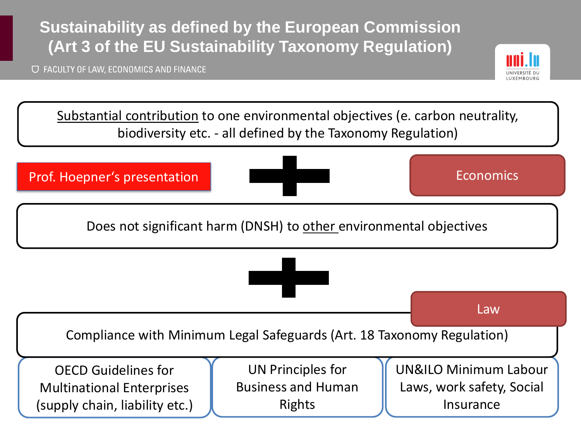# **Sustainability as defined by the European Commission (Art 3 of the EU Sustainability Taxonomy Regulation)**

O FACULTY OF LAW, ECONOMICS AND FINANCE



Substantial contribution to one environmental objectives (e. carbon neutrality, biodiversity etc. - all defined by the Taxonomy Regulation)

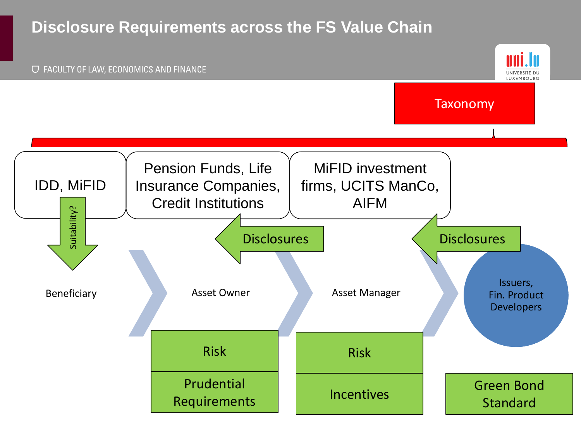#### **Disclosure Requirements across the FS Value Chain**

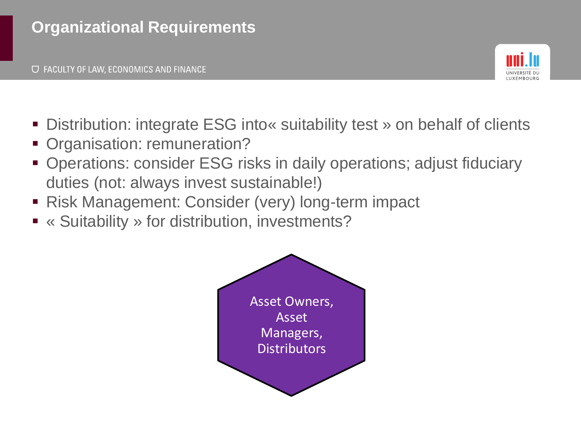

- Distribution: integrate ESG into « suitability test » on behalf of clients
- Organisation: remuneration?
- Operations: consider ESG risks in daily operations; adjust fiduciary duties (not: always invest sustainable!)
- Risk Management: Consider (very) long-term impact
- « Suitability » for distribution, investments?

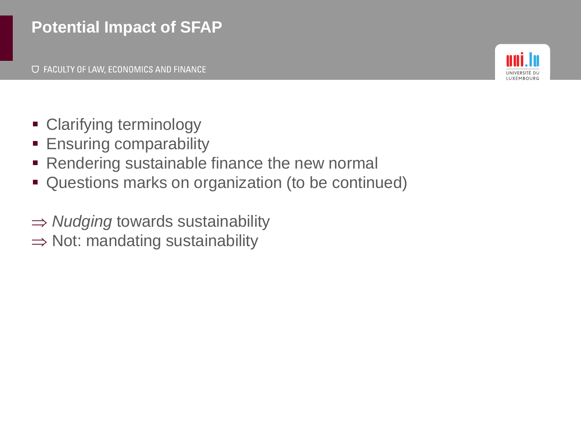# **Potential Impact of SFAP**



- Clarifying terminology
- **Ensuring comparability**
- Rendering sustainable finance the new normal
- Questions marks on organization (to be continued)
- **⇒ Nudging towards sustainability**
- $\Rightarrow$  Not: mandating sustainability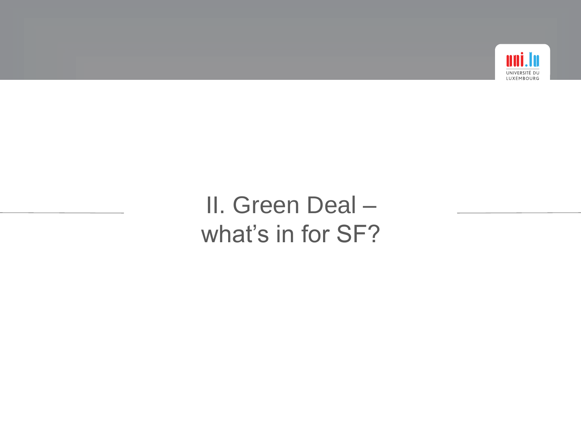

# II. Green Deal – what's in for SF?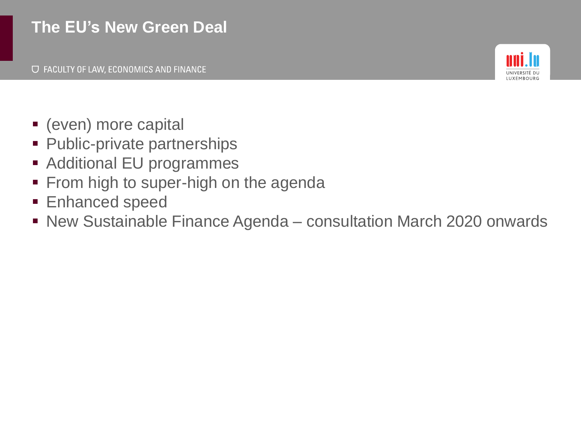### **The EU's New Green Deal**



- (even) more capital
- Public-private partnerships
- Additional EU programmes
- **From high to super-high on the agenda**
- **Enhanced speed**
- New Sustainable Finance Agenda consultation March 2020 onwards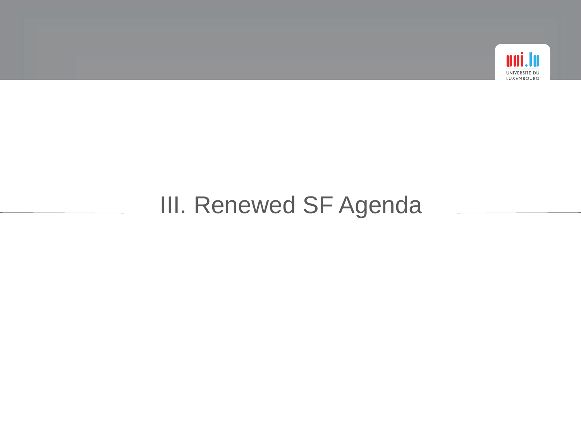

# III. Renewed SF Agenda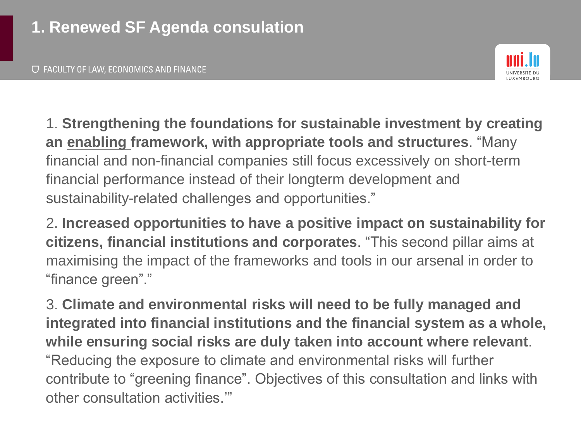

1. **Strengthening the foundations for sustainable investment by creating an enabling framework, with appropriate tools and structures**. "Many financial and non-financial companies still focus excessively on short-term financial performance instead of their longterm development and sustainability-related challenges and opportunities."

2. **Increased opportunities to have a positive impact on sustainability for citizens, financial institutions and corporates**. "This second pillar aims at maximising the impact of the frameworks and tools in our arsenal in order to "finance green"."

3. **Climate and environmental risks will need to be fully managed and integrated into financial institutions and the financial system as a whole, while ensuring social risks are duly taken into account where relevant**. "Reducing the exposure to climate and environmental risks will further contribute to "greening finance". Objectives of this consultation and links with other consultation activities.'"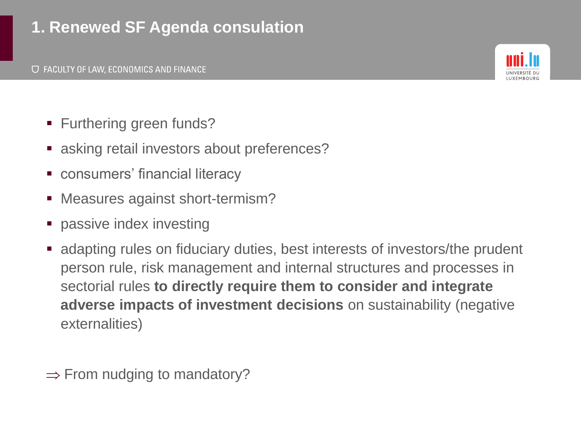# **1. Renewed SF Agenda consulation**



- Furthering green funds?
- asking retail investors about preferences?
- consumers' financial literacy
- Measures against short-termism?
- **•** passive index investing
- adapting rules on fiduciary duties, best interests of investors/the prudent person rule, risk management and internal structures and processes in sectorial rules **to directly require them to consider and integrate adverse impacts of investment decisions** on sustainability (negative externalities)

 $\Rightarrow$  From nudging to mandatory?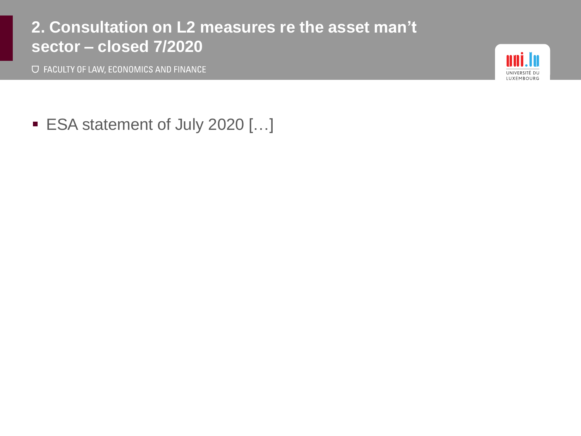#### **2. Consultation on L2 measures re the asset man't sector – closed 7/2020**

O FACULTY OF LAW, ECONOMICS AND FINANCE



■ ESA statement of July 2020 [...]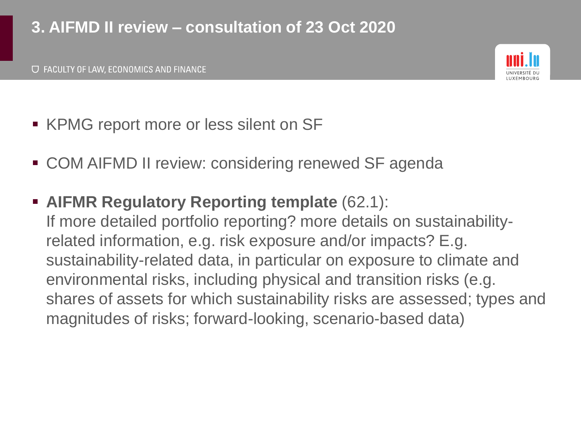# **3. AIFMD II review – consultation of 23 Oct 2020**



- KPMG report more or less silent on SF
- COM AIFMD II review: considering renewed SF agenda
- **AIFMR Regulatory Reporting template** (62.1): If more detailed portfolio reporting? more details on sustainabilityrelated information, e.g. risk exposure and/or impacts? E.g. sustainability-related data, in particular on exposure to climate and environmental risks, including physical and transition risks (e.g. shares of assets for which sustainability risks are assessed; types and magnitudes of risks; forward-looking, scenario-based data)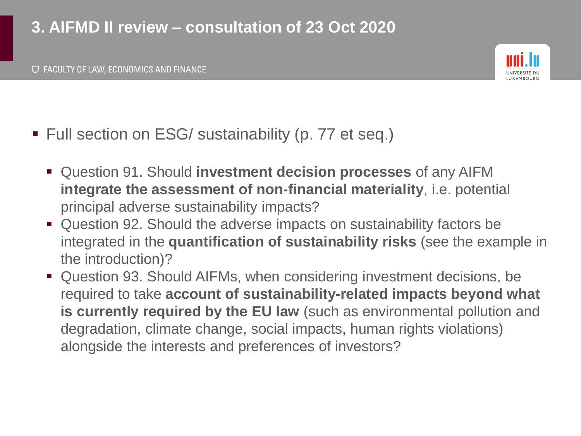# **3. AIFMD II review – consultation of 23 Oct 2020**



- Full section on ESG/ sustainability (p. 77 et seq.)
	- Question 91. Should **investment decision processes** of any AIFM **integrate the assessment of non-financial materiality**, i.e. potential principal adverse sustainability impacts?
	- Question 92. Should the adverse impacts on sustainability factors be integrated in the **quantification of sustainability risks** (see the example in the introduction)?
	- Question 93. Should AIFMs, when considering investment decisions, be required to take **account of sustainability-related impacts beyond what is currently required by the EU law** (such as environmental pollution and degradation, climate change, social impacts, human rights violations) alongside the interests and preferences of investors?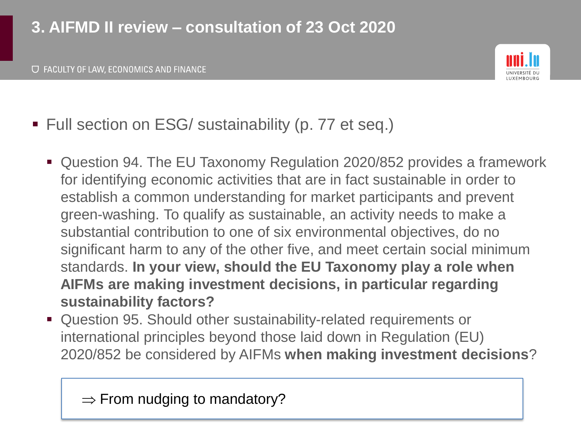# **3. AIFMD II review – consultation of 23 Oct 2020**



- Full section on ESG/ sustainability (p. 77 et seq.)
	- Question 94. The EU Taxonomy Regulation 2020/852 provides a framework for identifying economic activities that are in fact sustainable in order to establish a common understanding for market participants and prevent green-washing. To qualify as sustainable, an activity needs to make a substantial contribution to one of six environmental objectives, do no significant harm to any of the other five, and meet certain social minimum standards. **In your view, should the EU Taxonomy play a role when AIFMs are making investment decisions, in particular regarding sustainability factors?**
	- Question 95. Should other sustainability-related requirements or international principles beyond those laid down in Regulation (EU) 2020/852 be considered by AIFMs **when making investment decisions**?

 $\Rightarrow$  From nudging to mandatory?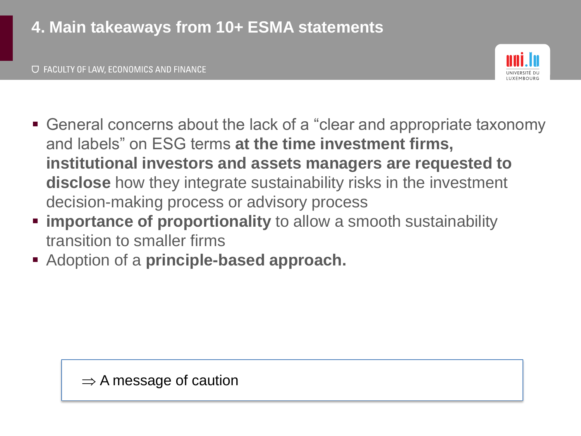

- General concerns about the lack of a "clear and appropriate taxonomy and labels" on ESG terms **at the time investment firms, institutional investors and assets managers are requested to disclose** how they integrate sustainability risks in the investment decision-making process or advisory process
- **Example 1 importance of proportionality** to allow a smooth sustainability transition to smaller firms
- Adoption of a **principle-based approach.**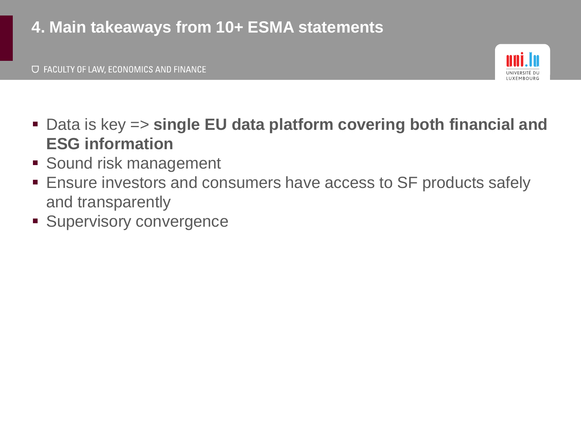# **4. Main takeaways from 10+ ESMA statements**



- Data is key => single EU data platform covering both financial and **ESG information**
- **Example 13 Sound risk management**
- **Ensure investors and consumers have access to SF products safely** and transparently
- **E** Supervisory convergence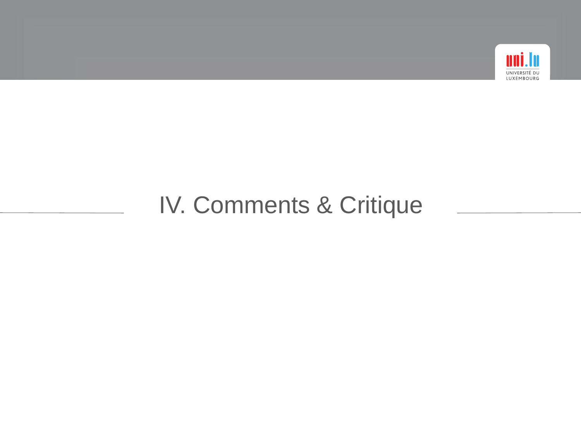

# IV. Comments & Critique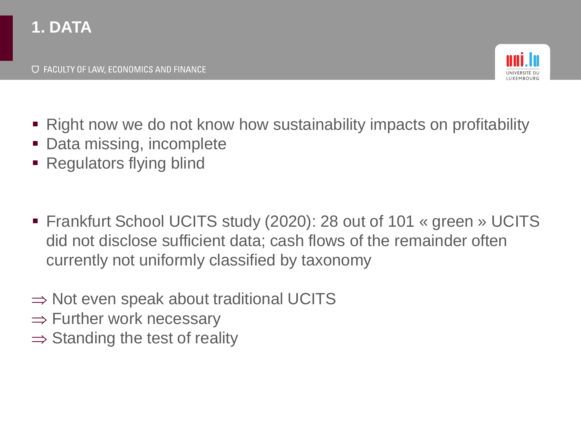# **1. DATA**



- Right now we do not know how sustainability impacts on profitability
- Data missing, incomplete
- Regulators flying blind
- Frankfurt School UCITS study (2020): 28 out of 101 « green » UCITS did not disclose sufficient data; cash flows of the remainder often currently not uniformly classified by taxonomy
- $\Rightarrow$  Not even speak about traditional UCITS
- $\Rightarrow$  Further work necessary
- $\Rightarrow$  Standing the test of reality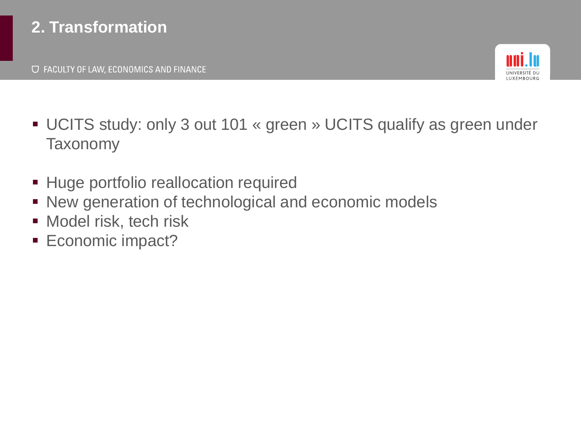# **2. Transformation**



- UCITS study: only 3 out 101 « green » UCITS qualify as green under **Taxonomy**
- **EXTEND FIGURE 11 FIGURE 11 FIGURE 11 FIGURE 11 FIGURE 11 FIGURE 11 FIGURE 11 FIGURE 11 FIGURE 11 FIGURE 11 FIGURE 11 FIGURE 11 FIGURE 11 FIGURE 11 FIGURE 11 FIGURE 11 FIGURE 11 FIGURE 11 FIGURE 11 FIGURE 11 FIGURE 11 FIGU**
- New generation of technological and economic models
- Model risk, tech risk
- **Economic impact?**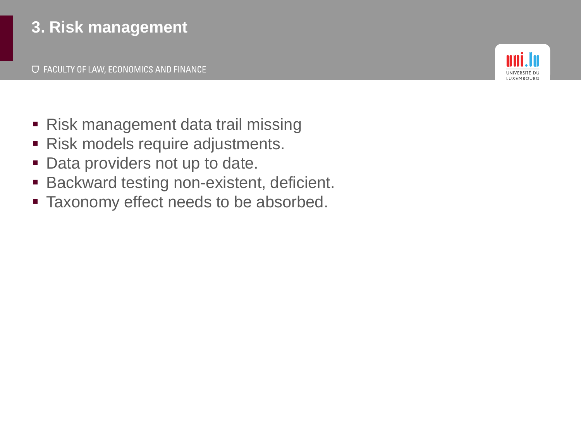# **3. Risk management**



- Risk management data trail missing
- Risk models require adjustments.
- **Data providers not up to date.**
- Backward testing non-existent, deficient.
- **Example 1** Taxonomy effect needs to be absorbed.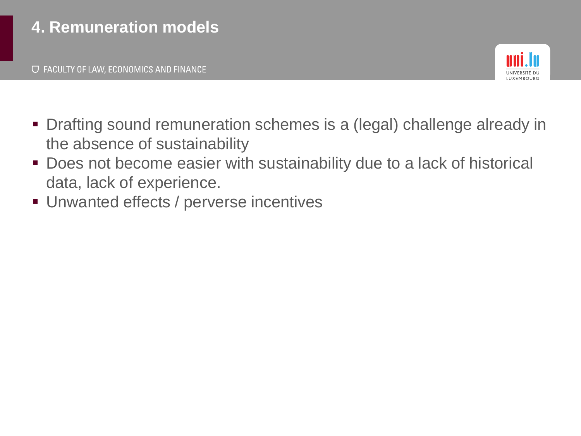

- Drafting sound remuneration schemes is a (legal) challenge already in the absence of sustainability
- Does not become easier with sustainability due to a lack of historical data, lack of experience.
- **Unwanted effects / perverse incentives**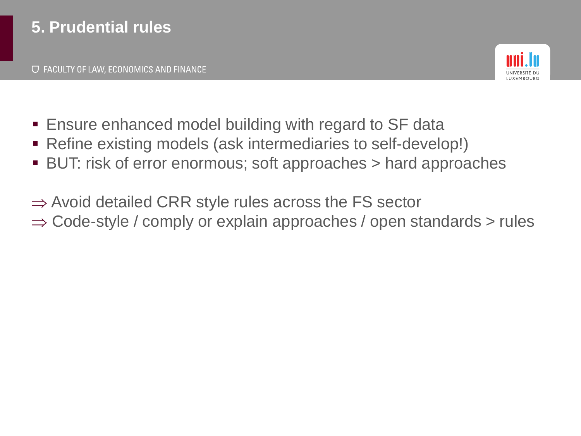

- Ensure enhanced model building with regard to SF data
- Refine existing models (ask intermediaries to self-develop!)
- BUT: risk of error enormous; soft approaches > hard approaches
- $\Rightarrow$  Avoid detailed CRR style rules across the FS sector  $\Rightarrow$  Code-style / comply or explain approaches / open standards  $>$  rules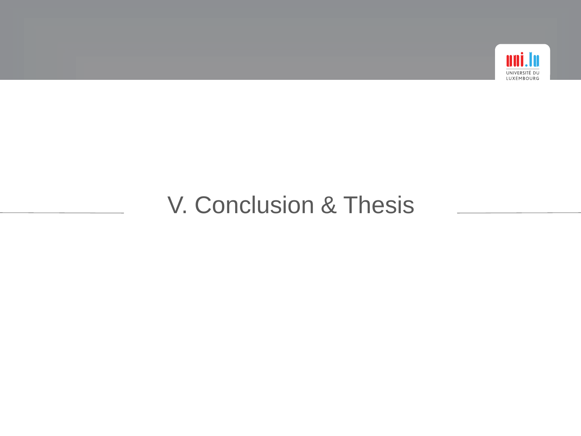

# V. Conclusion & Thesis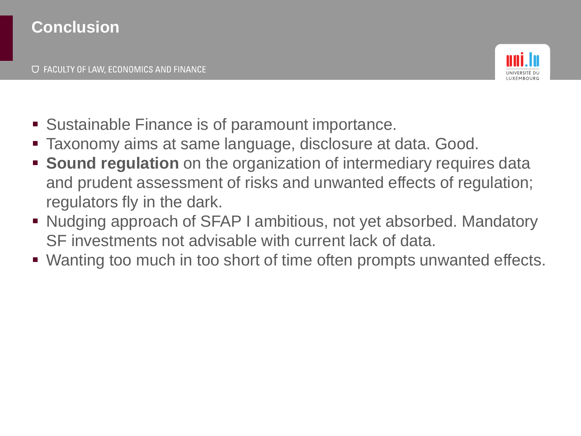

- Sustainable Finance is of paramount importance.
- Taxonomy aims at same language, disclosure at data. Good.
- **EXTERNIM Sound regulation** on the organization of intermediary requires data and prudent assessment of risks and unwanted effects of regulation; regulators fly in the dark.
- Nudging approach of SFAP I ambitious, not yet absorbed. Mandatory SF investments not advisable with current lack of data.
- Wanting too much in too short of time often prompts unwanted effects.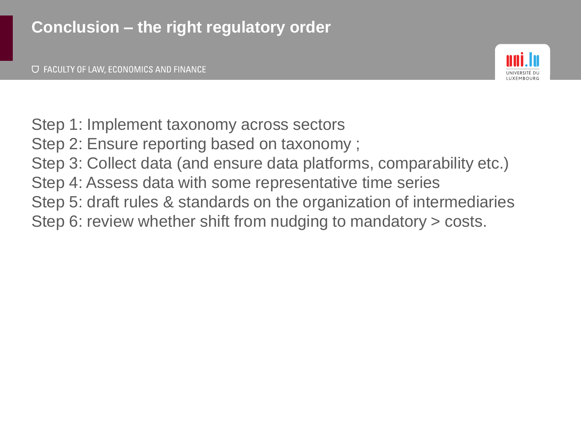

- Step 1: Implement taxonomy across sectors
- Step 2: Ensure reporting based on taxonomy ;
- Step 3: Collect data (and ensure data platforms, comparability etc.)
- Step 4: Assess data with some representative time series
- Step 5: draft rules & standards on the organization of intermediaries
- Step 6: review whether shift from nudging to mandatory > costs.